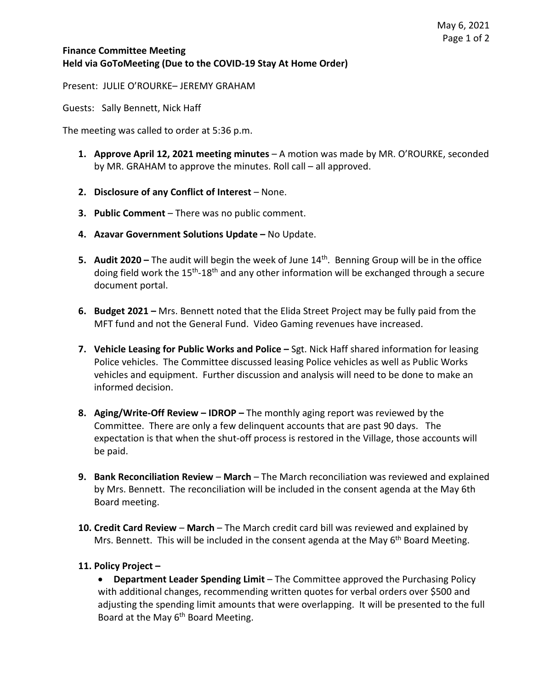## **Finance Committee Meeting Held via GoToMeeting (Due to the COVID-19 Stay At Home Order)**

Present: JULIE O'ROURKE– JEREMY GRAHAM

Guests: Sally Bennett, Nick Haff

The meeting was called to order at 5:36 p.m.

- **1. Approve April 12, 2021 meeting minutes**  A motion was made by MR. O'ROURKE, seconded by MR. GRAHAM to approve the minutes. Roll call – all approved.
- **2. Disclosure of any Conflict of Interest** None.
- **3. Public Comment**  There was no public comment.
- **4. Azavar Government Solutions Update –** No Update.
- **5. Audit 2020 –** The audit will begin the week of June 14th. Benning Group will be in the office doing field work the 15<sup>th</sup>-18<sup>th</sup> and any other information will be exchanged through a secure document portal.
- **6. Budget 2021 –** Mrs. Bennett noted that the Elida Street Project may be fully paid from the MFT fund and not the General Fund. Video Gaming revenues have increased.
- **7. Vehicle Leasing for Public Works and Police –** Sgt. Nick Haff shared information for leasing Police vehicles. The Committee discussed leasing Police vehicles as well as Public Works vehicles and equipment. Further discussion and analysis will need to be done to make an informed decision.
- **8. Aging/Write-Off Review – IDROP –** The monthly aging report was reviewed by the Committee. There are only a few delinquent accounts that are past 90 days. The expectation is that when the shut-off process is restored in the Village, those accounts will be paid.
- **9. Bank Reconciliation Review March** The March reconciliation was reviewed and explained by Mrs. Bennett. The reconciliation will be included in the consent agenda at the May 6th Board meeting.
- **10. Credit Card Review March** The March credit card bill was reviewed and explained by Mrs. Bennett. This will be included in the consent agenda at the May  $6<sup>th</sup>$  Board Meeting.

## **11. Policy Project –**

• **Department Leader Spending Limit** – The Committee approved the Purchasing Policy with additional changes, recommending written quotes for verbal orders over \$500 and adjusting the spending limit amounts that were overlapping. It will be presented to the full Board at the May  $6<sup>th</sup>$  Board Meeting.